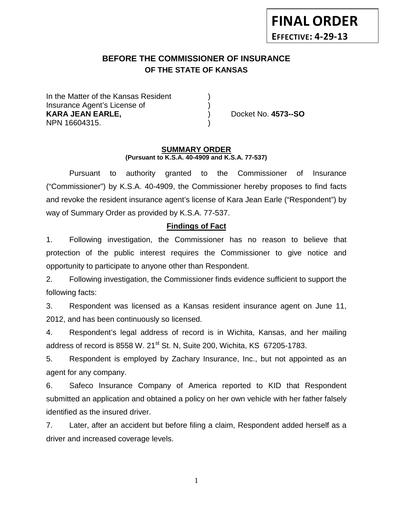# **BEFORE THE COMMISSIONER OF INSURANCE OF THE STATE OF KANSAS**

In the Matter of the Kansas Resident Insurance Agent's License of ) **KARA JEAN EARLE,** ) Docket No. **4573--SO** NPN 16604315. )

#### **SUMMARY ORDER (Pursuant to K.S.A. 40-4909 and K.S.A. 77-537)**

Pursuant to authority granted to the Commissioner of Insurance ("Commissioner") by K.S.A. 40-4909, the Commissioner hereby proposes to find facts and revoke the resident insurance agent's license of Kara Jean Earle ("Respondent") by way of Summary Order as provided by K.S.A. 77-537.

# **Findings of Fact**

1. Following investigation, the Commissioner has no reason to believe that protection of the public interest requires the Commissioner to give notice and opportunity to participate to anyone other than Respondent.

2. Following investigation, the Commissioner finds evidence sufficient to support the following facts:

3. Respondent was licensed as a Kansas resident insurance agent on June 11, 2012, and has been continuously so licensed.

4. Respondent's legal address of record is in Wichita, Kansas, and her mailing address of record is 8558 W. 21<sup>st</sup> St. N, Suite 200, Wichita, KS 67205-1783.

5. Respondent is employed by Zachary Insurance, Inc., but not appointed as an agent for any company.

6. Safeco Insurance Company of America reported to KID that Respondent submitted an application and obtained a policy on her own vehicle with her father falsely identified as the insured driver.

7. Later, after an accident but before filing a claim, Respondent added herself as a driver and increased coverage levels.

1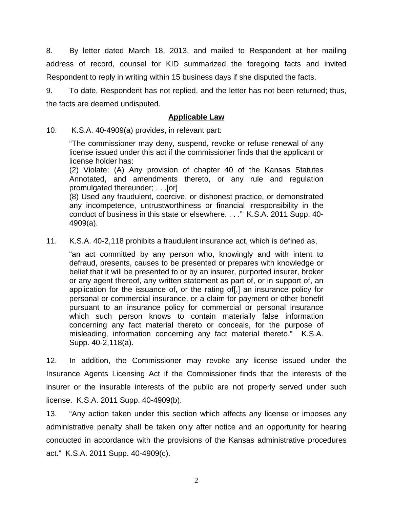8. By letter dated March 18, 2013, and mailed to Respondent at her mailing address of record, counsel for KID summarized the foregoing facts and invited Respondent to reply in writing within 15 business days if she disputed the facts.

9. To date, Respondent has not replied, and the letter has not been returned; thus, the facts are deemed undisputed.

### **Applicable Law**

10. K.S.A. 40-4909(a) provides, in relevant part:

"The commissioner may deny, suspend, revoke or refuse renewal of any license issued under this act if the commissioner finds that the applicant or license holder has:

(2) Violate: (A) Any provision of chapter 40 of the Kansas Statutes Annotated, and amendments thereto, or any rule and regulation promulgated thereunder; . . .[or]

(8) Used any fraudulent, coercive, or dishonest practice, or demonstrated any incompetence, untrustworthiness or financial irresponsibility in the conduct of business in this state or elsewhere. . . ." K.S.A. 2011 Supp. 40- 4909(a).

11. K.S.A. 40-2,118 prohibits a fraudulent insurance act, which is defined as,

"an act committed by any person who, knowingly and with intent to defraud, presents, causes to be presented or prepares with knowledge or belief that it will be presented to or by an insurer, purported insurer, broker or any agent thereof, any written statement as part of, or in support of, an application for the issuance of, or the rating of[,] an insurance policy for personal or commercial insurance, or a claim for payment or other benefit pursuant to an insurance policy for commercial or personal insurance which such person knows to contain materially false information concerning any fact material thereto or conceals, for the purpose of misleading, information concerning any fact material thereto." K.S.A. Supp. 40-2,118(a).

12. In addition, the Commissioner may revoke any license issued under the Insurance Agents Licensing Act if the Commissioner finds that the interests of the insurer or the insurable interests of the public are not properly served under such license. K.S.A. 2011 Supp. 40-4909(b).

13. "Any action taken under this section which affects any license or imposes any administrative penalty shall be taken only after notice and an opportunity for hearing conducted in accordance with the provisions of the Kansas administrative procedures act." K.S.A. 2011 Supp. 40-4909(c).

2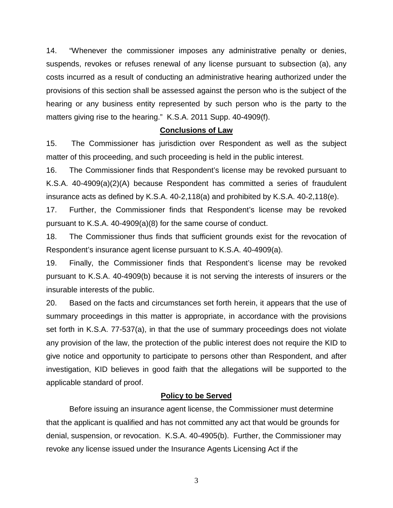14. "Whenever the commissioner imposes any administrative penalty or denies, suspends, revokes or refuses renewal of any license pursuant to subsection (a), any costs incurred as a result of conducting an administrative hearing authorized under the provisions of this section shall be assessed against the person who is the subject of the hearing or any business entity represented by such person who is the party to the matters giving rise to the hearing." K.S.A. 2011 Supp. 40-4909(f).

### **Conclusions of Law**

15. The Commissioner has jurisdiction over Respondent as well as the subject matter of this proceeding, and such proceeding is held in the public interest.

16. The Commissioner finds that Respondent's license may be revoked pursuant to K.S.A. 40-4909(a)(2)(A) because Respondent has committed a series of fraudulent insurance acts as defined by K.S.A. 40-2,118(a) and prohibited by K.S.A. 40-2,118(e).

17. Further, the Commissioner finds that Respondent's license may be revoked pursuant to K.S.A. 40-4909(a)(8) for the same course of conduct.

18. The Commissioner thus finds that sufficient grounds exist for the revocation of Respondent's insurance agent license pursuant to K.S.A. 40-4909(a).

19. Finally, the Commissioner finds that Respondent's license may be revoked pursuant to K.S.A. 40-4909(b) because it is not serving the interests of insurers or the insurable interests of the public.

20. Based on the facts and circumstances set forth herein, it appears that the use of summary proceedings in this matter is appropriate, in accordance with the provisions set forth in K.S.A. 77-537(a), in that the use of summary proceedings does not violate any provision of the law, the protection of the public interest does not require the KID to give notice and opportunity to participate to persons other than Respondent, and after investigation, KID believes in good faith that the allegations will be supported to the applicable standard of proof.

### **Policy to be Served**

Before issuing an insurance agent license, the Commissioner must determine that the applicant is qualified and has not committed any act that would be grounds for denial, suspension, or revocation. K.S.A. 40-4905(b). Further, the Commissioner may revoke any license issued under the Insurance Agents Licensing Act if the

3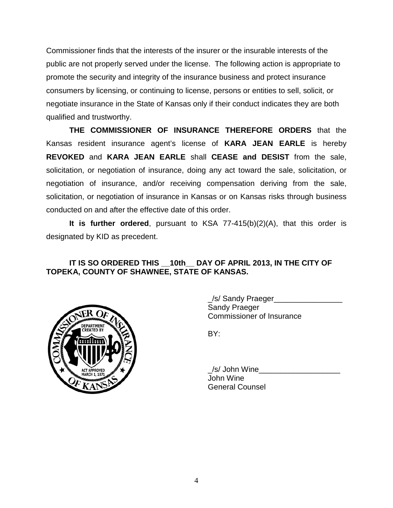Commissioner finds that the interests of the insurer or the insurable interests of the public are not properly served under the license. The following action is appropriate to promote the security and integrity of the insurance business and protect insurance consumers by licensing, or continuing to license, persons or entities to sell, solicit, or negotiate insurance in the State of Kansas only if their conduct indicates they are both qualified and trustworthy.

**THE COMMISSIONER OF INSURANCE THEREFORE ORDERS** that the Kansas resident insurance agent's license of **KARA JEAN EARLE** is hereby **REVOKED** and **KARA JEAN EARLE** shall **CEASE and DESIST** from the sale, solicitation, or negotiation of insurance, doing any act toward the sale, solicitation, or negotiation of insurance, and/or receiving compensation deriving from the sale, solicitation, or negotiation of insurance in Kansas or on Kansas risks through business conducted on and after the effective date of this order.

**It is further ordered**, pursuant to KSA 77-415(b)(2)(A), that this order is designated by KID as precedent.

# **IT IS SO ORDERED THIS \_\_10th\_\_ DAY OF APRIL 2013, IN THE CITY OF TOPEKA, COUNTY OF SHAWNEE, STATE OF KANSAS.**



\_/s/ Sandy Praeger\_\_\_\_\_\_\_\_\_\_\_\_\_\_\_\_ Sandy Praeger Commissioner of Insurance

BY:

/s/ John Wine John Wine General Counsel